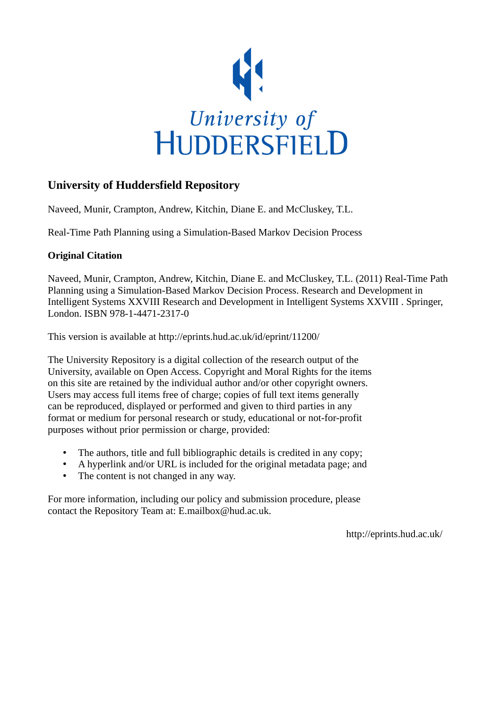

# **University of Huddersfield Repository**

Naveed, Munir, Crampton, Andrew, Kitchin, Diane E. and McCluskey, T.L.

Real-Time Path Planning using a Simulation-Based Markov Decision Process

# **Original Citation**

Naveed, Munir, Crampton, Andrew, Kitchin, Diane E. and McCluskey, T.L. (2011) Real-Time Path Planning using a Simulation-Based Markov Decision Process. Research and Development in Intelligent Systems XXVIII Research and Development in Intelligent Systems XXVIII . Springer, London. ISBN 978-1-4471-2317-0

This version is available at http://eprints.hud.ac.uk/id/eprint/11200/

The University Repository is a digital collection of the research output of the University, available on Open Access. Copyright and Moral Rights for the items on this site are retained by the individual author and/or other copyright owners. Users may access full items free of charge; copies of full text items generally can be reproduced, displayed or performed and given to third parties in any format or medium for personal research or study, educational or not-for-profit purposes without prior permission or charge, provided:

- The authors, title and full bibliographic details is credited in any copy;
- A hyperlink and/or URL is included for the original metadata page; and
- The content is not changed in any way.

For more information, including our policy and submission procedure, please contact the Repository Team at: E.mailbox@hud.ac.uk.

http://eprints.hud.ac.uk/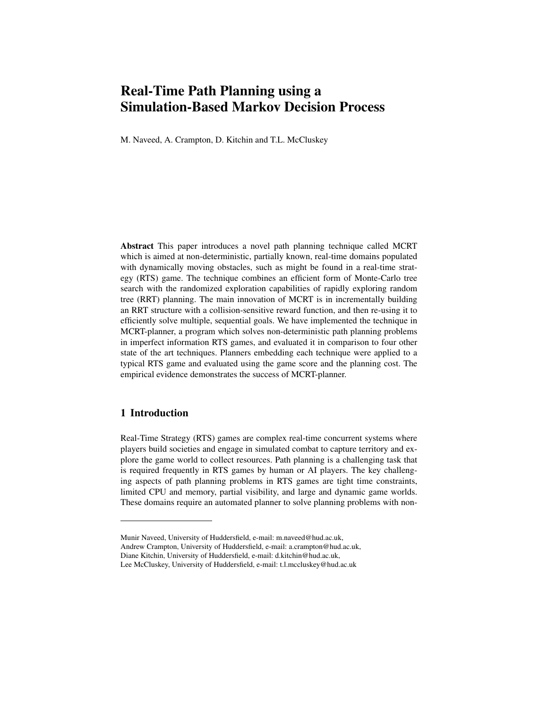M. Naveed, A. Crampton, D. Kitchin and T.L. McCluskey

Abstract This paper introduces a novel path planning technique called MCRT which is aimed at non-deterministic, partially known, real-time domains populated with dynamically moving obstacles, such as might be found in a real-time strategy (RTS) game. The technique combines an efficient form of Monte-Carlo tree search with the randomized exploration capabilities of rapidly exploring random tree (RRT) planning. The main innovation of MCRT is in incrementally building an RRT structure with a collision-sensitive reward function, and then re-using it to efficiently solve multiple, sequential goals. We have implemented the technique in MCRT-planner, a program which solves non-deterministic path planning problems in imperfect information RTS games, and evaluated it in comparison to four other state of the art techniques. Planners embedding each technique were applied to a typical RTS game and evaluated using the game score and the planning cost. The empirical evidence demonstrates the success of MCRT-planner.

## 1 Introduction

Real-Time Strategy (RTS) games are complex real-time concurrent systems where players build societies and engage in simulated combat to capture territory and explore the game world to collect resources. Path planning is a challenging task that is required frequently in RTS games by human or AI players. The key challenging aspects of path planning problems in RTS games are tight time constraints, limited CPU and memory, partial visibility, and large and dynamic game worlds. These domains require an automated planner to solve planning problems with non-

Munir Naveed, University of Huddersfield, e-mail: m.naveed@hud.ac.uk, Andrew Crampton, University of Huddersfield, e-mail: a.crampton@hud.ac.uk, Diane Kitchin, University of Huddersfield, e-mail: d.kitchin@hud.ac.uk, Lee McCluskey, University of Huddersfield, e-mail: t.l.mccluskey@hud.ac.uk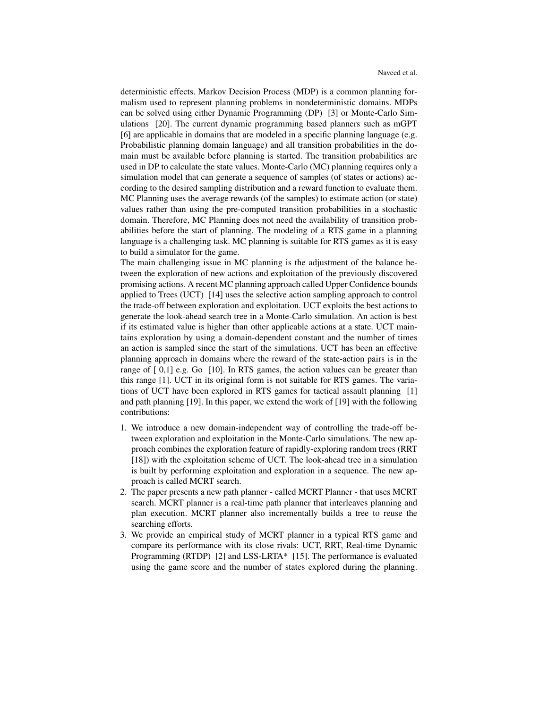deterministic effects. Markov Decision Process (MDP) is a common planning formalism used to represent planning problems in nondeterministic domains. MDPs can be solved using either Dynamic Programming (DP) [3] or Monte-Carlo Simulations [20]. The current dynamic programming based planners such as mGPT [6] are applicable in domains that are modeled in a specific planning language (e.g. Probabilistic planning domain language) and all transition probabilities in the domain must be available before planning is started. The transition probabilities are used in DP to calculate the state values. Monte-Carlo (MC) planning requires only a simulation model that can generate a sequence of samples (of states or actions) according to the desired sampling distribution and a reward function to evaluate them. MC Planning uses the average rewards (of the samples) to estimate action (or state) values rather than using the pre-computed transition probabilities in a stochastic domain. Therefore, MC Planning does not need the availability of transition probabilities before the start of planning. The modeling of a RTS game in a planning language is a challenging task. MC planning is suitable for RTS games as it is easy to build a simulator for the game.

The main challenging issue in MC planning is the adjustment of the balance between the exploration of new actions and exploitation of the previously discovered promising actions. A recent MC planning approach called Upper Confidence bounds applied to Trees (UCT) [14] uses the selective action sampling approach to control the trade-off between exploration and exploitation. UCT exploits the best actions to generate the look-ahead search tree in a Monte-Carlo simulation. An action is best if its estimated value is higher than other applicable actions at a state. UCT maintains exploration by using a domain-dependent constant and the number of times an action is sampled since the start of the simulations. UCT has been an effective planning approach in domains where the reward of the state-action pairs is in the range of  $[0,1]$  e.g. Go  $[10]$ . In RTS games, the action values can be greater than this range [1]. UCT in its original form is not suitable for RTS games. The variations of UCT have been explored in RTS games for tactical assault planning [1] and path planning [19]. In this paper, we extend the work of [19] with the following contributions:

- 1. We introduce a new domain-independent way of controlling the trade-off between exploration and exploitation in the Monte-Carlo simulations. The new approach combines the exploration feature of rapidly-exploring random trees (RRT [18]) with the exploitation scheme of UCT. The look-ahead tree in a simulation is built by performing exploitation and exploration in a sequence. The new approach is called MCRT search.
- 2. The paper presents a new path planner called MCRT Planner that uses MCRT search. MCRT planner is a real-time path planner that interleaves planning and plan execution. MCRT planner also incrementally builds a tree to reuse the searching efforts.
- 3. We provide an empirical study of MCRT planner in a typical RTS game and compare its performance with its close rivals: UCT, RRT, Real-time Dynamic Programming (RTDP) [2] and LSS-LRTA\* [15]. The performance is evaluated using the game score and the number of states explored during the planning.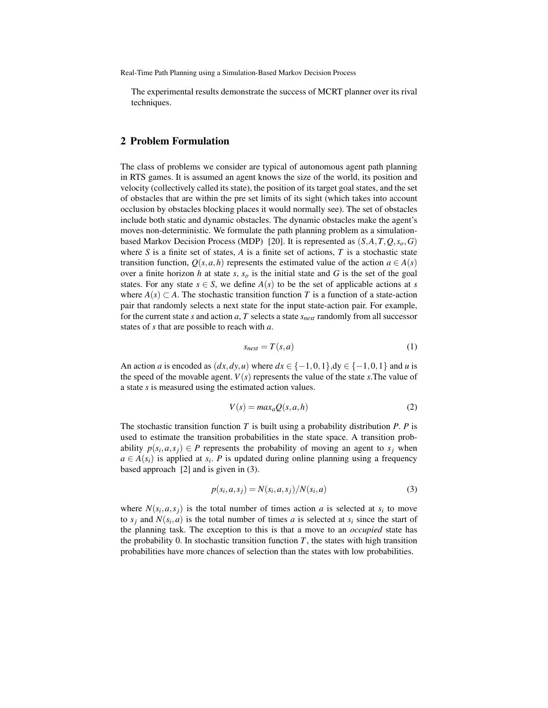The experimental results demonstrate the success of MCRT planner over its rival techniques.

#### 2 Problem Formulation

The class of problems we consider are typical of autonomous agent path planning in RTS games. It is assumed an agent knows the size of the world, its position and velocity (collectively called its state), the position of its target goal states, and the set of obstacles that are within the pre set limits of its sight (which takes into account occlusion by obstacles blocking places it would normally see). The set of obstacles include both static and dynamic obstacles. The dynamic obstacles make the agent's moves non-deterministic. We formulate the path planning problem as a simulationbased Markov Decision Process (MDP) [20]. It is represented as (*S*,*A*,*T*,*Q*,*so*,*G*) where *S* is a finite set of states, *A* is a finite set of actions, *T* is a stochastic state transition function,  $Q(s, a, h)$  represents the estimated value of the action  $a \in A(s)$ over a finite horizon *h* at state *s*,  $s<sub>o</sub>$  is the initial state and *G* is the set of the goal states. For any state  $s \in S$ , we define  $A(s)$  to be the set of applicable actions at *s* where  $A(s) \subset A$ . The stochastic transition function *T* is a function of a state-action pair that randomly selects a next state for the input state-action pair. For example, for the current state *s* and action *a*, *T* selects a state *snext* randomly from all successor states of *s* that are possible to reach with *a*.

$$
s_{next} = T(s, a) \tag{1}
$$

An action *a* is encoded as  $(dx, dy, u)$  where  $dx \in \{-1, 0, 1\}$ ,  $dy \in \{-1, 0, 1\}$  and *u* is the speed of the movable agent.  $V(s)$  represents the value of the state *s*. The value of a state *s* is measured using the estimated action values.

$$
V(s) = max_a Q(s, a, h)
$$
 (2)

The stochastic transition function *T* is built using a probability distribution *P*. *P* is used to estimate the transition probabilities in the state space. A transition probability  $p(s_i, a, s_j) \in P$  represents the probability of moving an agent to  $s_j$  when  $a \in A(s_i)$  is applied at  $s_i$ . *P* is updated during online planning using a frequency based approach [2] and is given in (3).

$$
p(s_i, a, s_j) = N(s_i, a, s_j) / N(s_i, a)
$$
\n
$$
(3)
$$

where  $N(s_i, a, s_j)$  is the total number of times action *a* is selected at  $s_i$  to move to  $s_j$  and  $N(s_i, a)$  is the total number of times *a* is selected at  $s_i$  since the start of the planning task. The exception to this is that a move to an *occupied* state has the probability 0. In stochastic transition function  $T$ , the states with high transition probabilities have more chances of selection than the states with low probabilities.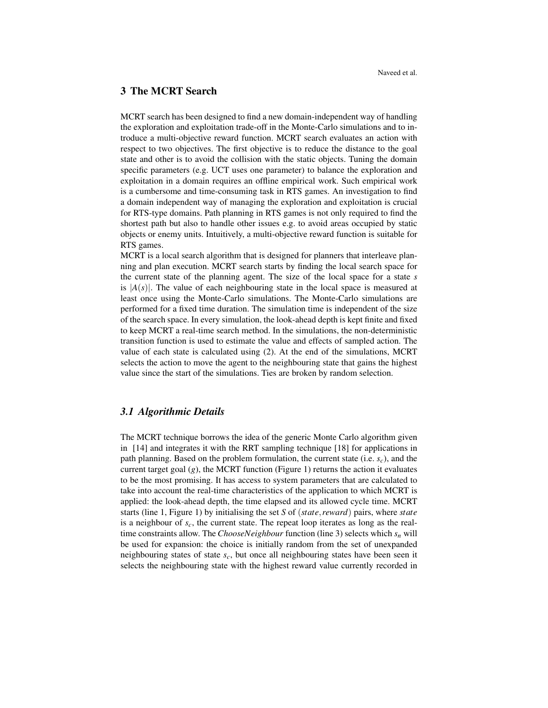#### 3 The MCRT Search

MCRT search has been designed to find a new domain-independent way of handling the exploration and exploitation trade-off in the Monte-Carlo simulations and to introduce a multi-objective reward function. MCRT search evaluates an action with respect to two objectives. The first objective is to reduce the distance to the goal state and other is to avoid the collision with the static objects. Tuning the domain specific parameters (e.g. UCT uses one parameter) to balance the exploration and exploitation in a domain requires an offline empirical work. Such empirical work is a cumbersome and time-consuming task in RTS games. An investigation to find a domain independent way of managing the exploration and exploitation is crucial for RTS-type domains. Path planning in RTS games is not only required to find the shortest path but also to handle other issues e.g. to avoid areas occupied by static objects or enemy units. Intuitively, a multi-objective reward function is suitable for RTS games.

MCRT is a local search algorithm that is designed for planners that interleave planning and plan execution. MCRT search starts by finding the local search space for the current state of the planning agent. The size of the local space for a state *s* is  $|A(s)|$ . The value of each neighbouring state in the local space is measured at least once using the Monte-Carlo simulations. The Monte-Carlo simulations are performed for a fixed time duration. The simulation time is independent of the size of the search space. In every simulation, the look-ahead depth is kept finite and fixed to keep MCRT a real-time search method. In the simulations, the non-deterministic transition function is used to estimate the value and effects of sampled action. The value of each state is calculated using (2). At the end of the simulations, MCRT selects the action to move the agent to the neighbouring state that gains the highest value since the start of the simulations. Ties are broken by random selection.

### *3.1 Algorithmic Details*

The MCRT technique borrows the idea of the generic Monte Carlo algorithm given in [14] and integrates it with the RRT sampling technique [18] for applications in path planning. Based on the problem formulation, the current state (i.e. *sc*), and the current target goal  $(g)$ , the MCRT function (Figure 1) returns the action it evaluates to be the most promising. It has access to system parameters that are calculated to take into account the real-time characteristics of the application to which MCRT is applied: the look-ahead depth, the time elapsed and its allowed cycle time. MCRT starts (line 1, Figure 1) by initialising the set *S* of (*state*,*reward*) pairs, where *state* is a neighbour of *sc*, the current state. The repeat loop iterates as long as the realtime constraints allow. The *ChooseNeighbour* function (line 3) selects which *s<sup>n</sup>* will be used for expansion: the choice is initially random from the set of unexpanded neighbouring states of state *sc*, but once all neighbouring states have been seen it selects the neighbouring state with the highest reward value currently recorded in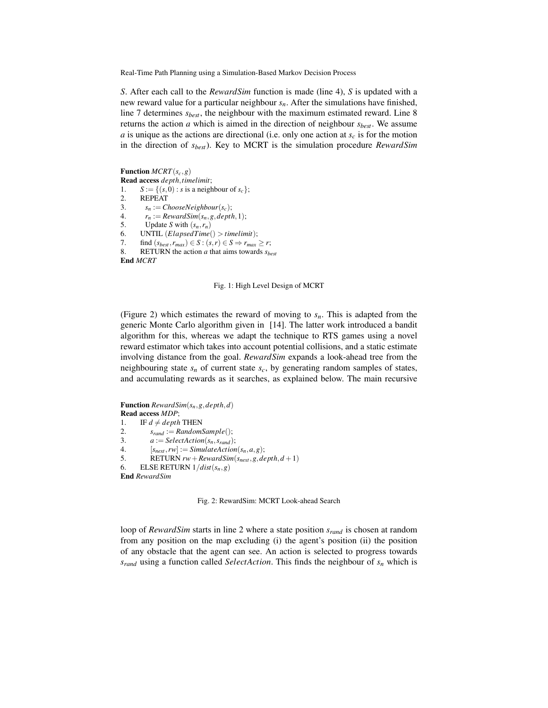*S*. After each call to the *RewardSim* function is made (line 4), *S* is updated with a new reward value for a particular neighbour *sn*. After the simulations have finished, line 7 determines *sbest*, the neighbour with the maximum estimated reward. Line 8 returns the action *a* which is aimed in the direction of neighbour *sbest*. We assume *a* is unique as the actions are directional (i.e. only one action at  $s_c$  is for the motion in the direction of *sbest*). Key to MCRT is the simulation procedure *RewardSim*

**Function**  $MCRT(s_c, g)$ Read access *depth*,*timelimit*; 1.  $S := \{(s, 0) : s \text{ is a neighbor of } s_c\};$ 2. REPEAT 3.  $s_n := ChooseNeighbour(s_c);$ 4.  $r_n := \text{RewardSim}(s_n, g, \text{depth}, 1);$ <br>5. Undate *S* with  $(s_n, r_n)$ Update *S* with  $(s_n, r_n)$ 6. UNTIL (*ElapsedTime*() > *timelimit*); 7. find  $(s_{best}, r_{max}) \in S : (s, r) \in S \Rightarrow r_{max} \ge r$ ; 8. RETURN the action *a* that aims towards *sbest* End *MCRT*

#### Fig. 1: High Level Design of MCRT

(Figure 2) which estimates the reward of moving to *sn*. This is adapted from the generic Monte Carlo algorithm given in [14]. The latter work introduced a bandit algorithm for this, whereas we adapt the technique to RTS games using a novel reward estimator which takes into account potential collisions, and a static estimate involving distance from the goal. *RewardSim* expands a look-ahead tree from the neighbouring state  $s_n$  of current state  $s_c$ , by generating random samples of states, and accumulating rewards as it searches, as explained below. The main recursive

```
Function RewardSim(sn,g,depth,d)
Read access MDP;
1. IF d \neq depth THEN
2. s_{rand} := RandomSample();<br>3. a := SelectAction(s_n, s_{rand})3. a := \text{SelectAction}(s_n, s_{rand});<br>4. [s_{next}, rw] := \text{SimulateAction}4. [s_{next}, rw] := SimulateAction(s_n, a, g);<br>5. RETURN rw + RewardSim(s_{next}, g, deRETURN\ rw +RewardSim(s_{next}, g, depth, d + 1)6. ELSE RETURN 1/dist(s_n, g)End RewardSim
```
Fig. 2: RewardSim: MCRT Look-ahead Search

loop of *RewardSim* starts in line 2 where a state position *srand* is chosen at random from any position on the map excluding (i) the agent's position (ii) the position of any obstacle that the agent can see. An action is selected to progress towards *srand* using a function called *SelectAction*. This finds the neighbour of *s<sup>n</sup>* which is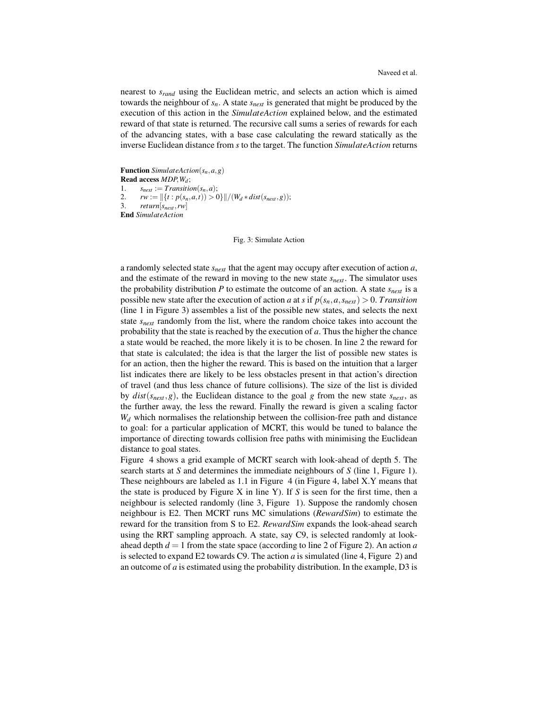nearest to *srand* using the Euclidean metric, and selects an action which is aimed towards the neighbour of *sn*. A state *snext* is generated that might be produced by the execution of this action in the *SimulateAction* explained below, and the estimated reward of that state is returned. The recursive call sums a series of rewards for each of the advancing states, with a base case calculating the reward statically as the inverse Euclidean distance from *s* to the target. The function *SimulateAction* returns

**Function** *SimulateAction*( $s_n, a, g$ ) Read access *MDP*,*W<sup>d</sup>* ; 1.  $s_{next} := Transition(s_n, a);$ 2.  $rw := ||\{t : p(s_n, a, t)) > 0\}||/(W_d * dist(s_{next}, g));$ 3. *return*[*snext* ,*rw*] End *SimulateAction*

Fig. 3: Simulate Action

a randomly selected state *snext* that the agent may occupy after execution of action *a*, and the estimate of the reward in moving to the new state *snext*. The simulator uses the probability distribution  $P$  to estimate the outcome of an action. A state  $s_{next}$  is a possible new state after the execution of action *a* at *s* if  $p(s_n, a, s_{next}) > 0$ . *Transition* (line 1 in Figure 3) assembles a list of the possible new states, and selects the next state *snext* randomly from the list, where the random choice takes into account the probability that the state is reached by the execution of *a*. Thus the higher the chance a state would be reached, the more likely it is to be chosen. In line 2 the reward for that state is calculated; the idea is that the larger the list of possible new states is for an action, then the higher the reward. This is based on the intuition that a larger list indicates there are likely to be less obstacles present in that action's direction of travel (and thus less chance of future collisions). The size of the list is divided by  $dist(s_{next}, g)$ , the Euclidean distance to the goal *g* from the new state  $s_{next}$ , as the further away, the less the reward. Finally the reward is given a scaling factor  $W<sub>d</sub>$  which normalises the relationship between the collision-free path and distance to goal: for a particular application of MCRT, this would be tuned to balance the importance of directing towards collision free paths with minimising the Euclidean distance to goal states.

Figure 4 shows a grid example of MCRT search with look-ahead of depth 5. The search starts at *S* and determines the immediate neighbours of *S* (line 1, Figure 1). These neighbours are labeled as 1.1 in Figure 4 (in Figure 4, label X.Y means that the state is produced by Figure X in line Y). If *S* is seen for the first time, then a neighbour is selected randomly (line 3, Figure 1). Suppose the randomly chosen neighbour is E2. Then MCRT runs MC simulations (*RewardSim*) to estimate the reward for the transition from S to E2. *RewardSim* expands the look-ahead search using the RRT sampling approach. A state, say C9, is selected randomly at lookahead depth  $d = 1$  from the state space (according to line 2 of Figure 2). An action  $a$ is selected to expand E2 towards C9. The action  $a$  is simulated (line 4, Figure 2) and an outcome of *a* is estimated using the probability distribution. In the example, D3 is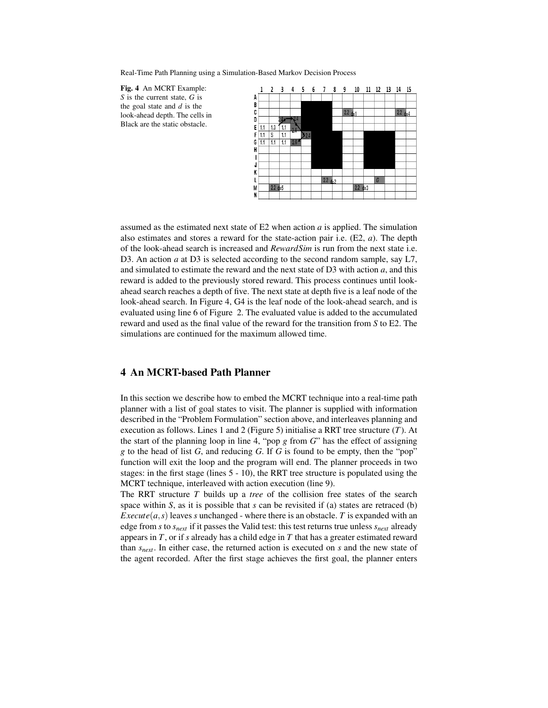



assumed as the estimated next state of E2 when action *a* is applied. The simulation also estimates and stores a reward for the state-action pair i.e. (E2, *a*). The depth of the look-ahead search is increased and *RewardSim* is run from the next state i.e. D3. An action *a* at D3 is selected according to the second random sample, say L7, and simulated to estimate the reward and the next state of D3 with action *a*, and this reward is added to the previously stored reward. This process continues until lookahead search reaches a depth of five. The next state at depth five is a leaf node of the look-ahead search. In Figure 4, G4 is the leaf node of the look-ahead search, and is evaluated using line 6 of Figure 2. The evaluated value is added to the accumulated reward and used as the final value of the reward for the transition from *S* to E2. The simulations are continued for the maximum allowed time.

#### 4 An MCRT-based Path Planner

In this section we describe how to embed the MCRT technique into a real-time path planner with a list of goal states to visit. The planner is supplied with information described in the "Problem Formulation" section above, and interleaves planning and execution as follows. Lines 1 and 2 (Figure 5) initialise a RRT tree structure (*T*). At the start of the planning loop in line 4, "pop  $g$  from  $G$ " has the effect of assigning *g* to the head of list *G*, and reducing *G*. If *G* is found to be empty, then the "pop" function will exit the loop and the program will end. The planner proceeds in two stages: in the first stage (lines 5 - 10), the RRT tree structure is populated using the MCRT technique, interleaved with action execution (line 9).

The RRT structure *T* builds up a *tree* of the collision free states of the search space within *S*, as it is possible that *s* can be revisited if (a) states are retraced (b) *Execute*( $a$ , $s$ ) leaves  $s$  unchanged - where there is an obstacle.  $T$  is expanded with an edge from *s* to *snext* if it passes the Valid test: this test returns true unless *snext* already appears in *T*, or if *s* already has a child edge in *T* that has a greater estimated reward than *snext*. In either case, the returned action is executed on *s* and the new state of the agent recorded. After the first stage achieves the first goal, the planner enters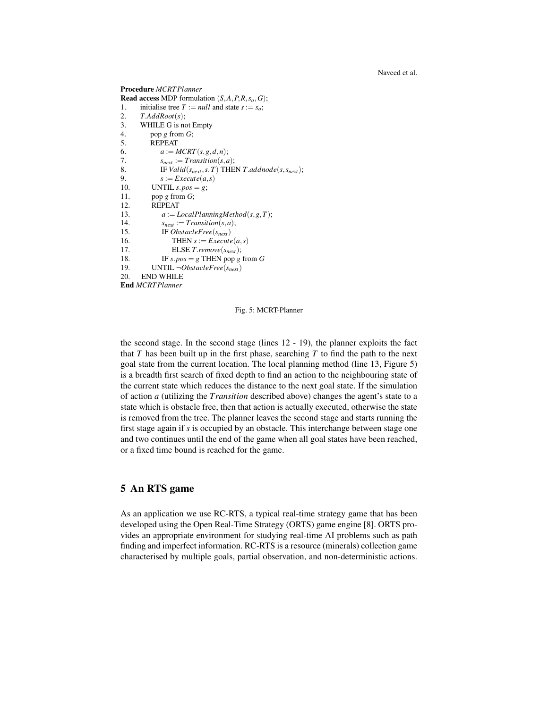Naveed et al.

Procedure *MCRT Planner* Read access MDP formulation (*S*,*A*,*P*,*R*,*so*,*G*); 1. initialise tree  $T := null$  and state  $s := s_o$ ;<br>2.  $TAddRoot(s)$ : 2. *T*.*AddRoot*(*s*); 3. WHILE G is not Empty 4. pop *g* from  $G$ ; 5. REPEAT 6.  $a := MCRT(s, g, d, n);$ 7.  $s_{next} := Transition(s, a);$ <br>8. IF  $Valid(s_{next}, s, T)$  THE IF *Valid*( $s_{next}$ , $s$ , $T$ ) THEN *T*.*addnode*( $s$ , $s_{next}$ ); 9.  $s := E$ *xecute* $(a, s)$ 10. UNTIL  $s.pos = g$ ; 11. pop *g* from  $G$ ; 12. REPEAT 13.  $a := LocalPlanningMethod(s, g, T);$ 14.  $s_{\text{next}} := \text{transition}(s, a);$ 15. IF *ObstacleFree*( $s_{next}$ )<br>16. THEN  $s := E$ *xecute* THEN  $s := E$ *xecute* $(a, s)$ 17. ELSE *T*.*remove*(*snext*); 18. IF  $s.pos = g$  THEN pop *g* from *G* 19. UNTIL ¬*ObstacleFree*(*snext*) END WHILE End *MCRT Planner*

#### Fig. 5: MCRT-Planner

the second stage. In the second stage (lines 12 - 19), the planner exploits the fact that  $T$  has been built up in the first phase, searching  $T$  to find the path to the next goal state from the current location. The local planning method (line 13, Figure 5) is a breadth first search of fixed depth to find an action to the neighbouring state of the current state which reduces the distance to the next goal state. If the simulation of action *a* (utilizing the *Transition* described above) changes the agent's state to a state which is obstacle free, then that action is actually executed, otherwise the state is removed from the tree. The planner leaves the second stage and starts running the first stage again if *s* is occupied by an obstacle. This interchange between stage one and two continues until the end of the game when all goal states have been reached, or a fixed time bound is reached for the game.

### 5 An RTS game

As an application we use RC-RTS, a typical real-time strategy game that has been developed using the Open Real-Time Strategy (ORTS) game engine [8]. ORTS provides an appropriate environment for studying real-time AI problems such as path finding and imperfect information. RC-RTS is a resource (minerals) collection game characterised by multiple goals, partial observation, and non-deterministic actions.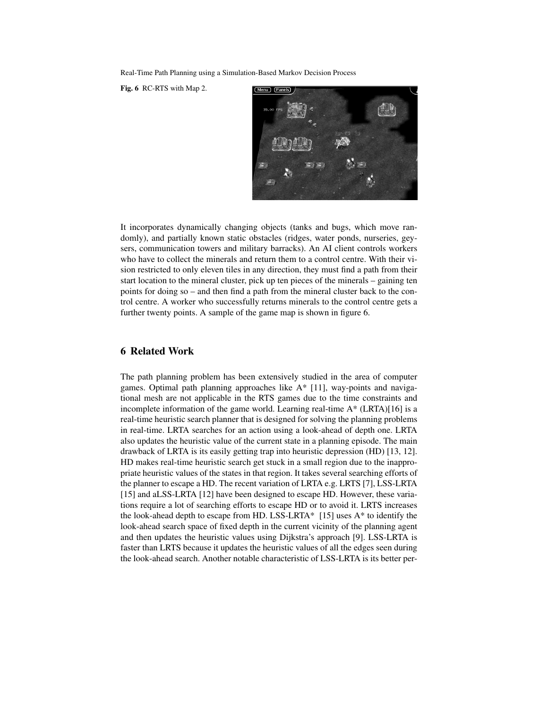Fig. 6 RC-RTS with Map 2.



It incorporates dynamically changing objects (tanks and bugs, which move randomly), and partially known static obstacles (ridges, water ponds, nurseries, geysers, communication towers and military barracks). An AI client controls workers who have to collect the minerals and return them to a control centre. With their vision restricted to only eleven tiles in any direction, they must find a path from their start location to the mineral cluster, pick up ten pieces of the minerals – gaining ten points for doing so – and then find a path from the mineral cluster back to the control centre. A worker who successfully returns minerals to the control centre gets a further twenty points. A sample of the game map is shown in figure 6.

#### 6 Related Work

The path planning problem has been extensively studied in the area of computer games. Optimal path planning approaches like A\* [11], way-points and navigational mesh are not applicable in the RTS games due to the time constraints and incomplete information of the game world. Learning real-time A\* (LRTA)[16] is a real-time heuristic search planner that is designed for solving the planning problems in real-time. LRTA searches for an action using a look-ahead of depth one. LRTA also updates the heuristic value of the current state in a planning episode. The main drawback of LRTA is its easily getting trap into heuristic depression (HD) [13, 12]. HD makes real-time heuristic search get stuck in a small region due to the inappropriate heuristic values of the states in that region. It takes several searching efforts of the planner to escape a HD. The recent variation of LRTA e.g. LRTS [7], LSS-LRTA [15] and aLSS-LRTA [12] have been designed to escape HD. However, these variations require a lot of searching efforts to escape HD or to avoid it. LRTS increases the look-ahead depth to escape from HD. LSS-LRTA\* [15] uses A\* to identify the look-ahead search space of fixed depth in the current vicinity of the planning agent and then updates the heuristic values using Dijkstra's approach [9]. LSS-LRTA is faster than LRTS because it updates the heuristic values of all the edges seen during the look-ahead search. Another notable characteristic of LSS-LRTA is its better per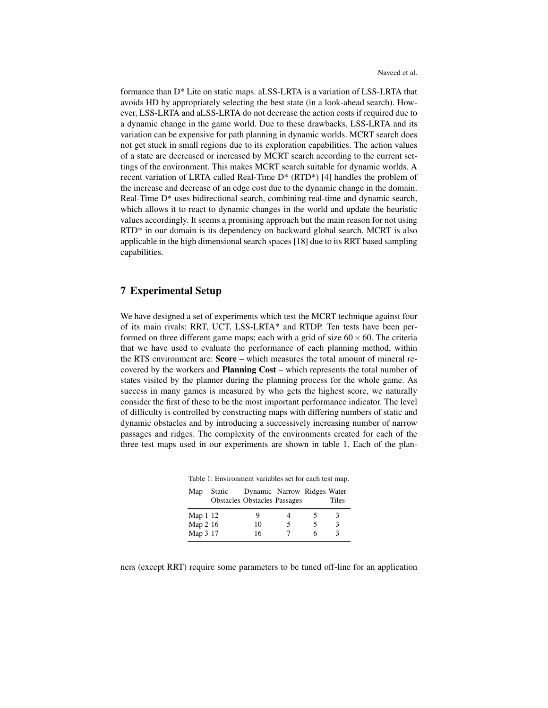formance than D\* Lite on static maps. aLSS-LRTA is a variation of LSS-LRTA that avoids HD by appropriately selecting the best state (in a look-ahead search). However, LSS-LRTA and aLSS-LRTA do not decrease the action costs if required due to a dynamic change in the game world. Due to these drawbacks, LSS-LRTA and its variation can be expensive for path planning in dynamic worlds. MCRT search does not get stuck in small regions due to its exploration capabilities. The action values of a state are decreased or increased by MCRT search according to the current settings of the environment. This makes MCRT search suitable for dynamic worlds. A recent variation of LRTA called Real-Time D\* (RTD\*) [4] handles the problem of the increase and decrease of an edge cost due to the dynamic change in the domain. Real-Time D<sup>\*</sup> uses bidirectional search, combining real-time and dynamic search, which allows it to react to dynamic changes in the world and update the heuristic values accordingly. It seems a promising approach but the main reason for not using RTD\* in our domain is its dependency on backward global search. MCRT is also applicable in the high dimensional search spaces [18] due to its RRT based sampling capabilities.

### 7 Experimental Setup

We have designed a set of experiments which test the MCRT technique against four of its main rivals: RRT, UCT, LSS-LRTA\* and RTDP. Ten tests have been performed on three different game maps; each with a grid of size  $60 \times 60$ . The criteria that we have used to evaluate the performance of each planning method, within the RTS environment are: Score – which measures the total amount of mineral recovered by the workers and Planning Cost – which represents the total number of states visited by the planner during the planning process for the whole game. As success in many games is measured by who gets the highest score, we naturally consider the first of these to be the most important performance indicator. The level of difficulty is controlled by constructing maps with differing numbers of static and dynamic obstacles and by introducing a successively increasing number of narrow passages and ridges. The complexity of the environments created for each of the three test maps used in our experiments are shown in table 1. Each of the plan-

| Map      | <b>Static</b> | Dynamic Narrow Ridges Water<br><b>Obstacles Obstacles Passages</b> |   | Tiles |
|----------|---------------|--------------------------------------------------------------------|---|-------|
| Map 1 12 |               | Q                                                                  |   |       |
| Map 2 16 |               | 10                                                                 | 5 | 3     |
| Map 3 17 |               | 16                                                                 |   |       |

ners (except RRT) require some parameters to be tuned off-line for an application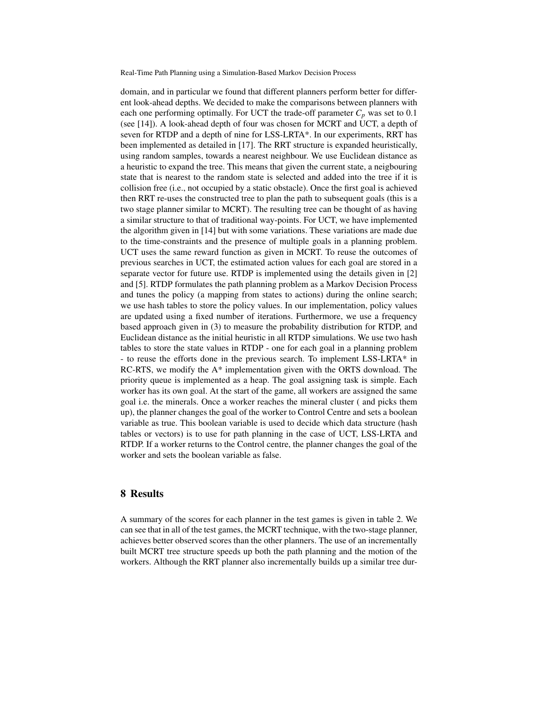domain, and in particular we found that different planners perform better for different look-ahead depths. We decided to make the comparisons between planners with each one performing optimally. For UCT the trade-off parameter  $C_p$  was set to 0.1 (see [14]). A look-ahead depth of four was chosen for MCRT and UCT, a depth of seven for RTDP and a depth of nine for LSS-LRTA\*. In our experiments, RRT has been implemented as detailed in [17]. The RRT structure is expanded heuristically, using random samples, towards a nearest neighbour. We use Euclidean distance as a heuristic to expand the tree. This means that given the current state, a neigbouring state that is nearest to the random state is selected and added into the tree if it is collision free (i.e., not occupied by a static obstacle). Once the first goal is achieved then RRT re-uses the constructed tree to plan the path to subsequent goals (this is a two stage planner similar to MCRT). The resulting tree can be thought of as having a similar structure to that of traditional way-points. For UCT, we have implemented the algorithm given in [14] but with some variations. These variations are made due to the time-constraints and the presence of multiple goals in a planning problem. UCT uses the same reward function as given in MCRT. To reuse the outcomes of previous searches in UCT, the estimated action values for each goal are stored in a separate vector for future use. RTDP is implemented using the details given in [2] and [5]. RTDP formulates the path planning problem as a Markov Decision Process and tunes the policy (a mapping from states to actions) during the online search; we use hash tables to store the policy values. In our implementation, policy values are updated using a fixed number of iterations. Furthermore, we use a frequency based approach given in (3) to measure the probability distribution for RTDP, and Euclidean distance as the initial heuristic in all RTDP simulations. We use two hash tables to store the state values in RTDP - one for each goal in a planning problem - to reuse the efforts done in the previous search. To implement LSS-LRTA\* in RC-RTS, we modify the A\* implementation given with the ORTS download. The priority queue is implemented as a heap. The goal assigning task is simple. Each worker has its own goal. At the start of the game, all workers are assigned the same goal i.e. the minerals. Once a worker reaches the mineral cluster ( and picks them up), the planner changes the goal of the worker to Control Centre and sets a boolean variable as true. This boolean variable is used to decide which data structure (hash tables or vectors) is to use for path planning in the case of UCT, LSS-LRTA and RTDP. If a worker returns to the Control centre, the planner changes the goal of the worker and sets the boolean variable as false.

#### 8 Results

A summary of the scores for each planner in the test games is given in table 2. We can see that in all of the test games, the MCRT technique, with the two-stage planner, achieves better observed scores than the other planners. The use of an incrementally built MCRT tree structure speeds up both the path planning and the motion of the workers. Although the RRT planner also incrementally builds up a similar tree dur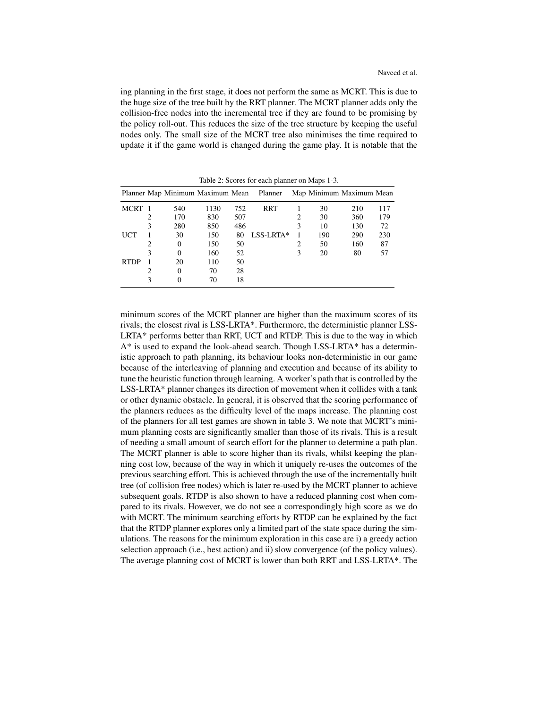ing planning in the first stage, it does not perform the same as MCRT. This is due to the huge size of the tree built by the RRT planner. The MCRT planner adds only the collision-free nodes into the incremental tree if they are found to be promising by the policy roll-out. This reduces the size of the tree structure by keeping the useful nodes only. The small size of the MCRT tree also minimises the time required to update it if the game world is changed during the game play. It is notable that the

Table 2: Scores for each planner on Maps 1-3.

|             |   |     |      |     | Planner Map Minimum Maximum Mean Planner |   |     | Map Minimum Maximum Mean |     |
|-------------|---|-----|------|-----|------------------------------------------|---|-----|--------------------------|-----|
| MCRT 1      |   | 540 | 1130 | 752 | RRT                                      |   | 30  | 210                      | 117 |
|             |   | 170 | 830  | 507 |                                          |   | 30  | 360                      | 179 |
|             | 3 | 280 | 850  | 486 |                                          |   | 10  | 130                      | 72  |
| <b>UCT</b>  |   | 30  | 150  | 80  | LSS-LRTA*                                |   | 190 | 290                      | 230 |
|             | 2 | 0   | 150  | 50  |                                          | 2 | 50  | 160                      | 87  |
|             | 3 | 0   | 160  | 52  |                                          | 3 | 20  | 80                       | 57  |
| <b>RTDP</b> |   | 20  | 110  | 50  |                                          |   |     |                          |     |
|             | 2 | 0   | 70   | 28  |                                          |   |     |                          |     |
|             |   | 0   | 70   | 18  |                                          |   |     |                          |     |

minimum scores of the MCRT planner are higher than the maximum scores of its rivals; the closest rival is LSS-LRTA\*. Furthermore, the deterministic planner LSS-LRTA\* performs better than RRT, UCT and RTDP. This is due to the way in which A\* is used to expand the look-ahead search. Though LSS-LRTA\* has a deterministic approach to path planning, its behaviour looks non-deterministic in our game because of the interleaving of planning and execution and because of its ability to tune the heuristic function through learning. A worker's path that is controlled by the LSS-LRTA\* planner changes its direction of movement when it collides with a tank or other dynamic obstacle. In general, it is observed that the scoring performance of the planners reduces as the difficulty level of the maps increase. The planning cost of the planners for all test games are shown in table 3. We note that MCRT's minimum planning costs are significantly smaller than those of its rivals. This is a result of needing a small amount of search effort for the planner to determine a path plan. The MCRT planner is able to score higher than its rivals, whilst keeping the planning cost low, because of the way in which it uniquely re-uses the outcomes of the previous searching effort. This is achieved through the use of the incrementally built tree (of collision free nodes) which is later re-used by the MCRT planner to achieve subsequent goals. RTDP is also shown to have a reduced planning cost when compared to its rivals. However, we do not see a correspondingly high score as we do with MCRT. The minimum searching efforts by RTDP can be explained by the fact that the RTDP planner explores only a limited part of the state space during the simulations. The reasons for the minimum exploration in this case are i) a greedy action selection approach (i.e., best action) and ii) slow convergence (of the policy values). The average planning cost of MCRT is lower than both RRT and LSS-LRTA\*. The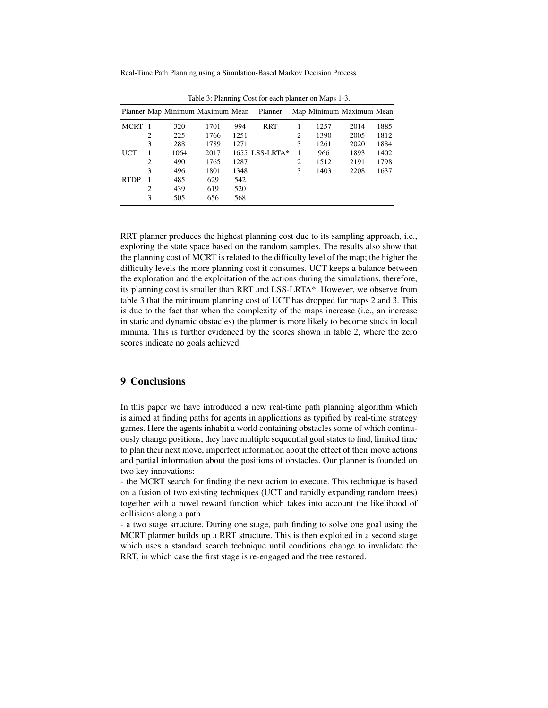|             |   |      | Planner Map Minimum Maximum Mean |      | Planner          |                |      | Map Minimum Maximum Mean |      |
|-------------|---|------|----------------------------------|------|------------------|----------------|------|--------------------------|------|
| <b>MCRT</b> |   | 320  | 1701                             | 994  | <b>RRT</b>       |                | 1257 | 2014                     | 1885 |
|             | 2 | 225  | 1766                             | 1251 |                  | 2              | 1390 | 2005                     | 1812 |
|             | 3 | 288  | 1789                             | 1271 |                  | 3              | 1261 | 2020                     | 1884 |
| <b>UCT</b>  |   | 1064 | 2017                             |      | $1655$ LSS-LRTA* |                | 966  | 1893                     | 1402 |
|             | 2 | 490  | 1765                             | 1287 |                  | $\overline{c}$ | 1512 | 2191                     | 1798 |
|             | 3 | 496  | 1801                             | 1348 |                  | 3              | 1403 | 2208                     | 1637 |
| <b>RTDP</b> |   | 485  | 629                              | 542  |                  |                |      |                          |      |
|             | 2 | 439  | 619                              | 520  |                  |                |      |                          |      |
|             | 3 | 505  | 656                              | 568  |                  |                |      |                          |      |

Table 3: Planning Cost for each planner on Maps 1-3.

RRT planner produces the highest planning cost due to its sampling approach, i.e., exploring the state space based on the random samples. The results also show that the planning cost of MCRT is related to the difficulty level of the map; the higher the difficulty levels the more planning cost it consumes. UCT keeps a balance between the exploration and the exploitation of the actions during the simulations, therefore, its planning cost is smaller than RRT and LSS-LRTA\*. However, we observe from table 3 that the minimum planning cost of UCT has dropped for maps 2 and 3. This is due to the fact that when the complexity of the maps increase (i.e., an increase in static and dynamic obstacles) the planner is more likely to become stuck in local minima. This is further evidenced by the scores shown in table 2, where the zero scores indicate no goals achieved.

## 9 Conclusions

In this paper we have introduced a new real-time path planning algorithm which is aimed at finding paths for agents in applications as typified by real-time strategy games. Here the agents inhabit a world containing obstacles some of which continuously change positions; they have multiple sequential goal states to find, limited time to plan their next move, imperfect information about the effect of their move actions and partial information about the positions of obstacles. Our planner is founded on two key innovations:

- the MCRT search for finding the next action to execute. This technique is based on a fusion of two existing techniques (UCT and rapidly expanding random trees) together with a novel reward function which takes into account the likelihood of collisions along a path

- a two stage structure. During one stage, path finding to solve one goal using the MCRT planner builds up a RRT structure. This is then exploited in a second stage which uses a standard search technique until conditions change to invalidate the RRT, in which case the first stage is re-engaged and the tree restored.